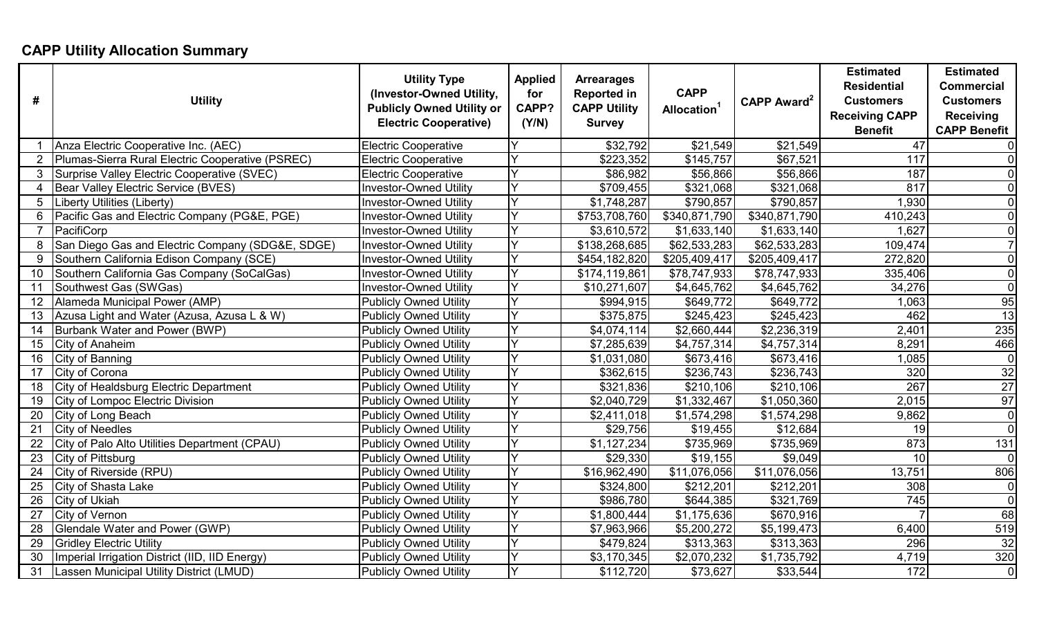## **CAPP Utility Allocation Summary**

| #               | <b>Utility</b>                                   | <b>Utility Type</b><br>(Investor-Owned Utility,<br><b>Publicly Owned Utility or</b><br><b>Electric Cooperative)</b> | <b>Applied</b><br>for<br>CAPP?<br>(Y/N) | <b>Arrearages</b><br><b>Reported in</b><br><b>CAPP Utility</b><br><b>Survey</b> | <b>CAPP</b><br>Allocation <sup>1</sup> | CAPP Award <sup>2</sup> | <b>Estimated</b><br><b>Residential</b><br><b>Customers</b><br><b>Receiving CAPP</b><br><b>Benefit</b> | <b>Estimated</b><br><b>Commercial</b><br><b>Customers</b><br><b>Receiving</b><br><b>CAPP Benefit</b> |
|-----------------|--------------------------------------------------|---------------------------------------------------------------------------------------------------------------------|-----------------------------------------|---------------------------------------------------------------------------------|----------------------------------------|-------------------------|-------------------------------------------------------------------------------------------------------|------------------------------------------------------------------------------------------------------|
|                 | Anza Electric Cooperative Inc. (AEC)             | Electric Cooperative                                                                                                |                                         | \$32,792                                                                        | \$21,549                               | \$21,549                | 47                                                                                                    | $\overline{0}$                                                                                       |
|                 | Plumas-Sierra Rural Electric Cooperative (PSREC) | <b>Electric Cooperative</b>                                                                                         |                                         | \$223,352                                                                       | \$145,757                              | $\overline{$67,521}$    | 117                                                                                                   | $\overline{0}$                                                                                       |
| 3               | Surprise Valley Electric Cooperative (SVEC)      | <b>Electric Cooperative</b>                                                                                         |                                         | \$86,982                                                                        | \$56,866                               | \$56,866                | 187                                                                                                   | $\overline{0}$                                                                                       |
| 4               | Bear Valley Electric Service (BVES)              | <b>Investor-Owned Utility</b>                                                                                       |                                         | \$709,455                                                                       | \$321,068                              | \$321,068               | 817                                                                                                   | $\overline{0}$                                                                                       |
| 5               | Liberty Utilities (Liberty)                      | <b>Investor-Owned Utility</b>                                                                                       |                                         | \$1,748,287                                                                     | \$790,857                              | \$790,857               | 1,930                                                                                                 | $\Omega$                                                                                             |
| 6               | Pacific Gas and Electric Company (PG&E, PGE)     | <b>Investor-Owned Utility</b>                                                                                       |                                         | \$753,708,760                                                                   | \$340,871,790                          | \$340,871,790           | 410,243                                                                                               | $\Omega$                                                                                             |
| $\overline{7}$  | PacifiCorp                                       | <b>Investor-Owned Utility</b>                                                                                       |                                         | \$3,610,572                                                                     | \$1,633,140                            | \$1,633,140             | 1,627                                                                                                 | $\Omega$                                                                                             |
| 8               | San Diego Gas and Electric Company (SDG&E, SDGE) | <b>Investor-Owned Utility</b>                                                                                       |                                         | \$138,268,685                                                                   | \$62,533,283                           | \$62,533,283            | 109,474                                                                                               |                                                                                                      |
| 9               | Southern California Edison Company (SCE)         | <b>Investor-Owned Utility</b>                                                                                       |                                         | \$454,182,820                                                                   | \$205,409,417                          | \$205,409,417           | 272,820                                                                                               | $\overline{0}$                                                                                       |
| 10              | Southern California Gas Company (SoCalGas)       | <b>Investor-Owned Utility</b>                                                                                       |                                         | \$174,119,861                                                                   | \$78,747,933                           | \$78,747,933            | 335,406                                                                                               | $\overline{0}$                                                                                       |
| 11              | Southwest Gas (SWGas)                            | <b>Investor-Owned Utility</b>                                                                                       | $\checkmark$                            | \$10,271,607                                                                    | \$4,645,762                            | \$4,645,762             | 34,276                                                                                                | $\overline{0}$                                                                                       |
| 12              | Alameda Municipal Power (AMP)                    | <b>Publicly Owned Utility</b>                                                                                       | Y                                       | \$994,915                                                                       | \$649,772                              | \$649,772               | 1,063                                                                                                 | 95                                                                                                   |
| 13              | Azusa Light and Water (Azusa, Azusa L & W)       | <b>Publicly Owned Utility</b>                                                                                       | Y                                       | \$375,875                                                                       | \$245,423                              | \$245,423               | 462                                                                                                   | 13                                                                                                   |
| 14              | Burbank Water and Power (BWP)                    | <b>Publicly Owned Utility</b>                                                                                       |                                         | \$4,074,114                                                                     | \$2,660,444                            | \$2,236,319             | 2,401                                                                                                 | 235                                                                                                  |
| 15              | City of Anaheim                                  | <b>Publicly Owned Utility</b>                                                                                       |                                         | \$7,285,639                                                                     | \$4,757,314                            | \$4,757,314             | 8,291                                                                                                 | 466                                                                                                  |
| 16              | City of Banning                                  | <b>Publicly Owned Utility</b>                                                                                       | Y                                       | \$1,031,080                                                                     | \$673,416                              | \$673,416               | 1,085                                                                                                 | $\overline{0}$                                                                                       |
| 17              | City of Corona                                   | <b>Publicly Owned Utility</b>                                                                                       |                                         | \$362,615                                                                       | \$236,743                              | \$236,743               | 320                                                                                                   | 32                                                                                                   |
| 18              | City of Healdsburg Electric Department           | <b>Publicly Owned Utility</b>                                                                                       | Y                                       | $\overline{$321,836}$                                                           | \$210,106                              | \$210,106               | 267                                                                                                   | 27                                                                                                   |
| 19              | City of Lompoc Electric Division                 | <b>Publicly Owned Utility</b>                                                                                       | Y                                       | \$2,040,729                                                                     | \$1,332,467                            | \$1,050,360             | 2,015                                                                                                 | 97                                                                                                   |
| 20              | City of Long Beach                               | <b>Publicly Owned Utility</b>                                                                                       | Y                                       | \$2,411,018                                                                     | \$1,574,298                            | \$1,574,298             | 9,862                                                                                                 | $\overline{0}$                                                                                       |
| 21              | <b>City of Needles</b>                           | <b>Publicly Owned Utility</b>                                                                                       | Y                                       | \$29,756                                                                        | \$19,455                               | \$12,684                | 19                                                                                                    | $\overline{0}$                                                                                       |
| 22              | City of Palo Alto Utilities Department (CPAU)    | <b>Publicly Owned Utility</b>                                                                                       | Y                                       | \$1,127,234                                                                     | \$735,969                              | \$735,969               | 873                                                                                                   | 131                                                                                                  |
| 23              | City of Pittsburg                                | <b>Publicly Owned Utility</b>                                                                                       |                                         | \$29,330                                                                        | \$19,155                               | \$9,049                 | 10                                                                                                    | $\overline{0}$                                                                                       |
| 24              | City of Riverside (RPU)                          | Publicly Owned Utility                                                                                              |                                         | \$16,962,490                                                                    | \$11,076,056                           | \$11,076,056            | 13,751                                                                                                | 806                                                                                                  |
| 25              | <b>City of Shasta Lake</b>                       | <b>Publicly Owned Utility</b>                                                                                       |                                         | \$324,800                                                                       | \$212,201                              | \$212,201               | 308                                                                                                   | $\overline{0}$                                                                                       |
| 26              | City of Ukiah                                    | <b>Publicly Owned Utility</b>                                                                                       | Y                                       | \$986,780                                                                       | \$644,385                              | \$321,769               | 745                                                                                                   | $\overline{0}$                                                                                       |
| 27              | <b>City of Vernon</b>                            | <b>Publicly Owned Utility</b>                                                                                       | Y                                       | \$1,800,444                                                                     | $\overline{1,175,636}$                 | $\overline{$670,916}$   |                                                                                                       | 68                                                                                                   |
| 28              | Glendale Water and Power (GWP)                   | Publicly Owned Utility                                                                                              | $\checkmark$                            | \$7,963,966                                                                     | \$5,200,272                            | \$5,199,473             | 6,400                                                                                                 | 519                                                                                                  |
| 29              | <b>Gridley Electric Utility</b>                  | <b>Publicly Owned Utility</b>                                                                                       | Y                                       | \$479,824                                                                       | \$313,363                              | \$313,363               | 296                                                                                                   | 32                                                                                                   |
| 30              | Imperial Irrigation District (IID, IID Energy)   | <b>Publicly Owned Utility</b>                                                                                       | Y                                       | \$3,170,345                                                                     | \$2,070,232                            | \$1,735,792             | 4,719                                                                                                 | 320                                                                                                  |
| $\overline{31}$ | Lassen Municipal Utility District (LMUD)         | <b>Publicly Owned Utility</b>                                                                                       | Y                                       | \$112,720                                                                       | \$73,627                               | \$33,544                | 172                                                                                                   | $\overline{0}$                                                                                       |